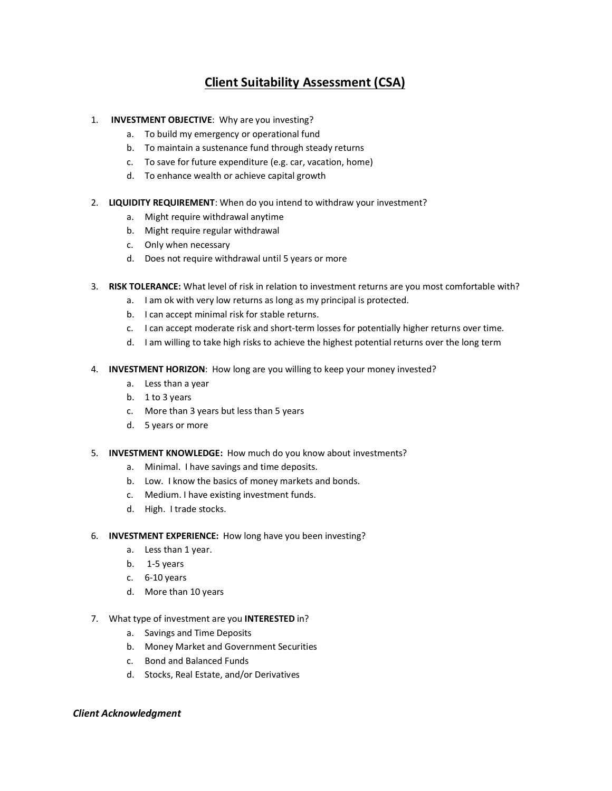## Client Suitability Assessment (CSA)

- 1. INVESTMENT OBJECTIVE: Why are you investing?
	- a. To build my emergency or operational fund
	- b. To maintain a sustenance fund through steady returns
	- c. To save for future expenditure (e.g. car, vacation, home)
	- d. To enhance wealth or achieve capital growth
- 2. LIQUIDITY REQUIREMENT: When do you intend to withdraw your investment?
	- a. Might require withdrawal anytime
	- b. Might require regular withdrawal
	- c. Only when necessary
	- d. Does not require withdrawal until 5 years or more
- 3. RISK TOLERANCE: What level of risk in relation to investment returns are you most comfortable with?
	- a. I am ok with very low returns as long as my principal is protected.
	- b. I can accept minimal risk for stable returns.
	- c. I can accept moderate risk and short-term losses for potentially higher returns over time.
	- d. I am willing to take high risks to achieve the highest potential returns over the long term
- 4. INVESTMENT HORIZON: How long are you willing to keep your money invested?
	- a. Less than a year
	- b. 1 to 3 years
	- c. More than 3 years but less than 5 years
	- d. 5 years or more
- 5. INVESTMENT KNOWLEDGE: How much do you know about investments?
	- a. Minimal. I have savings and time deposits.
	- b. Low. I know the basics of money markets and bonds.
	- c. Medium. I have existing investment funds.
	- d. High. I trade stocks.
- 6. INVESTMENT EXPERIENCE: How long have you been investing?
	- a. Less than 1 year.
	- b. 1-5 years
	- c. 6-10 years
	- d. More than 10 years
- 7. What type of investment are you **INTERESTED** in?
	- a. Savings and Time Deposits
	- b. Money Market and Government Securities
	- c. Bond and Balanced Funds
	- d. Stocks, Real Estate, and/or Derivatives

## Client Acknowledgment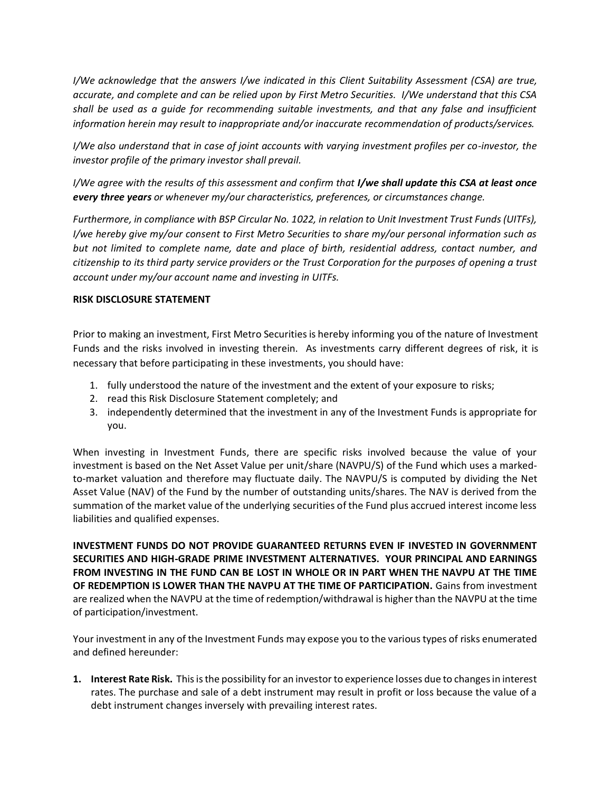I/We acknowledge that the answers I/we indicated in this Client Suitability Assessment (CSA) are true, accurate, and complete and can be relied upon by First Metro Securities. I/We understand that this CSA shall be used as a guide for recommending suitable investments, and that any false and insufficient information herein may result to inappropriate and/or inaccurate recommendation of products/services.

I/We also understand that in case of joint accounts with varying investment profiles per co-investor, the investor profile of the primary investor shall prevail.

I/We agree with the results of this assessment and confirm that I/we shall update this CSA at least once every three years or whenever my/our characteristics, preferences, or circumstances change.

Furthermore, in compliance with BSP Circular No. 1022, in relation to Unit Investment Trust Funds (UITFs), I/we hereby give my/our consent to First Metro Securities to share my/our personal information such as but not limited to complete name, date and place of birth, residential address, contact number, and citizenship to its third party service providers or the Trust Corporation for the purposes of opening a trust account under my/our account name and investing in UITFs.

## RISK DISCLOSURE STATEMENT

Prior to making an investment, First Metro Securities is hereby informing you of the nature of Investment Funds and the risks involved in investing therein. As investments carry different degrees of risk, it is necessary that before participating in these investments, you should have:

- 1. fully understood the nature of the investment and the extent of your exposure to risks;
- 2. read this Risk Disclosure Statement completely; and
- 3. independently determined that the investment in any of the Investment Funds is appropriate for you.

When investing in Investment Funds, there are specific risks involved because the value of your investment is based on the Net Asset Value per unit/share (NAVPU/S) of the Fund which uses a markedto-market valuation and therefore may fluctuate daily. The NAVPU/S is computed by dividing the Net Asset Value (NAV) of the Fund by the number of outstanding units/shares. The NAV is derived from the summation of the market value of the underlying securities of the Fund plus accrued interest income less liabilities and qualified expenses.

INVESTMENT FUNDS DO NOT PROVIDE GUARANTEED RETURNS EVEN IF INVESTED IN GOVERNMENT SECURITIES AND HIGH-GRADE PRIME INVESTMENT ALTERNATIVES. YOUR PRINCIPAL AND EARNINGS FROM INVESTING IN THE FUND CAN BE LOST IN WHOLE OR IN PART WHEN THE NAVPU AT THE TIME OF REDEMPTION IS LOWER THAN THE NAVPU AT THE TIME OF PARTICIPATION. Gains from investment are realized when the NAVPU at the time of redemption/withdrawal is higher than the NAVPU at the time of participation/investment.

Your investment in any of the Investment Funds may expose you to the various types of risks enumerated and defined hereunder:

1. Interest Rate Risk. This is the possibility for an investor to experience losses due to changes in interest rates. The purchase and sale of a debt instrument may result in profit or loss because the value of a debt instrument changes inversely with prevailing interest rates.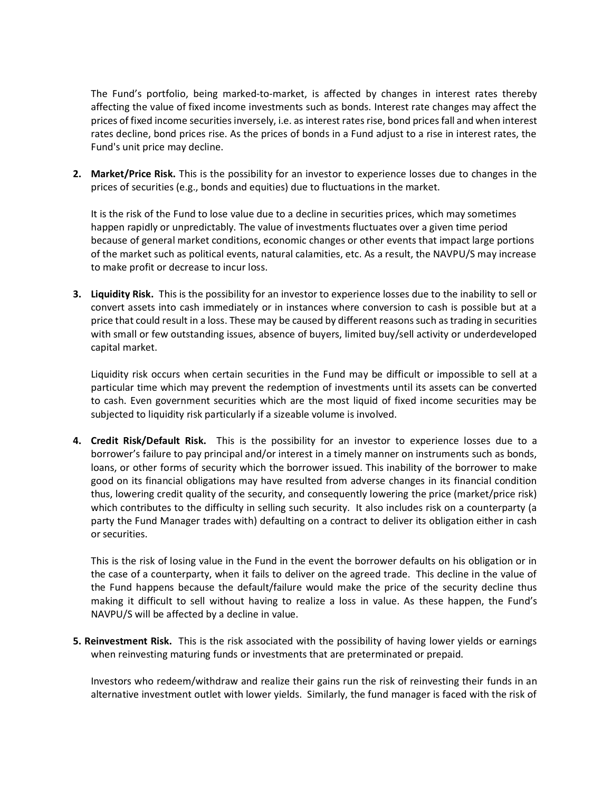The Fund's portfolio, being marked-to-market, is affected by changes in interest rates thereby affecting the value of fixed income investments such as bonds. Interest rate changes may affect the prices of fixed income securities inversely, i.e. as interest rates rise, bond prices fall and when interest rates decline, bond prices rise. As the prices of bonds in a Fund adjust to a rise in interest rates, the Fund's unit price may decline.

2. Market/Price Risk. This is the possibility for an investor to experience losses due to changes in the prices of securities (e.g., bonds and equities) due to fluctuations in the market.

It is the risk of the Fund to lose value due to a decline in securities prices, which may sometimes happen rapidly or unpredictably. The value of investments fluctuates over a given time period because of general market conditions, economic changes or other events that impact large portions of the market such as political events, natural calamities, etc. As a result, the NAVPU/S may increase to make profit or decrease to incur loss.

3. Liquidity Risk. This is the possibility for an investor to experience losses due to the inability to sell or convert assets into cash immediately or in instances where conversion to cash is possible but at a price that could result in a loss. These may be caused by different reasons such as trading in securities with small or few outstanding issues, absence of buyers, limited buy/sell activity or underdeveloped capital market.

Liquidity risk occurs when certain securities in the Fund may be difficult or impossible to sell at a particular time which may prevent the redemption of investments until its assets can be converted to cash. Even government securities which are the most liquid of fixed income securities may be subjected to liquidity risk particularly if a sizeable volume is involved.

4. Credit Risk/Default Risk. This is the possibility for an investor to experience losses due to a borrower's failure to pay principal and/or interest in a timely manner on instruments such as bonds, loans, or other forms of security which the borrower issued. This inability of the borrower to make good on its financial obligations may have resulted from adverse changes in its financial condition thus, lowering credit quality of the security, and consequently lowering the price (market/price risk) which contributes to the difficulty in selling such security. It also includes risk on a counterparty (a party the Fund Manager trades with) defaulting on a contract to deliver its obligation either in cash or securities.

This is the risk of losing value in the Fund in the event the borrower defaults on his obligation or in the case of a counterparty, when it fails to deliver on the agreed trade. This decline in the value of the Fund happens because the default/failure would make the price of the security decline thus making it difficult to sell without having to realize a loss in value. As these happen, the Fund's NAVPU/S will be affected by a decline in value.

5. Reinvestment Risk. This is the risk associated with the possibility of having lower yields or earnings when reinvesting maturing funds or investments that are preterminated or prepaid.

Investors who redeem/withdraw and realize their gains run the risk of reinvesting their funds in an alternative investment outlet with lower yields. Similarly, the fund manager is faced with the risk of